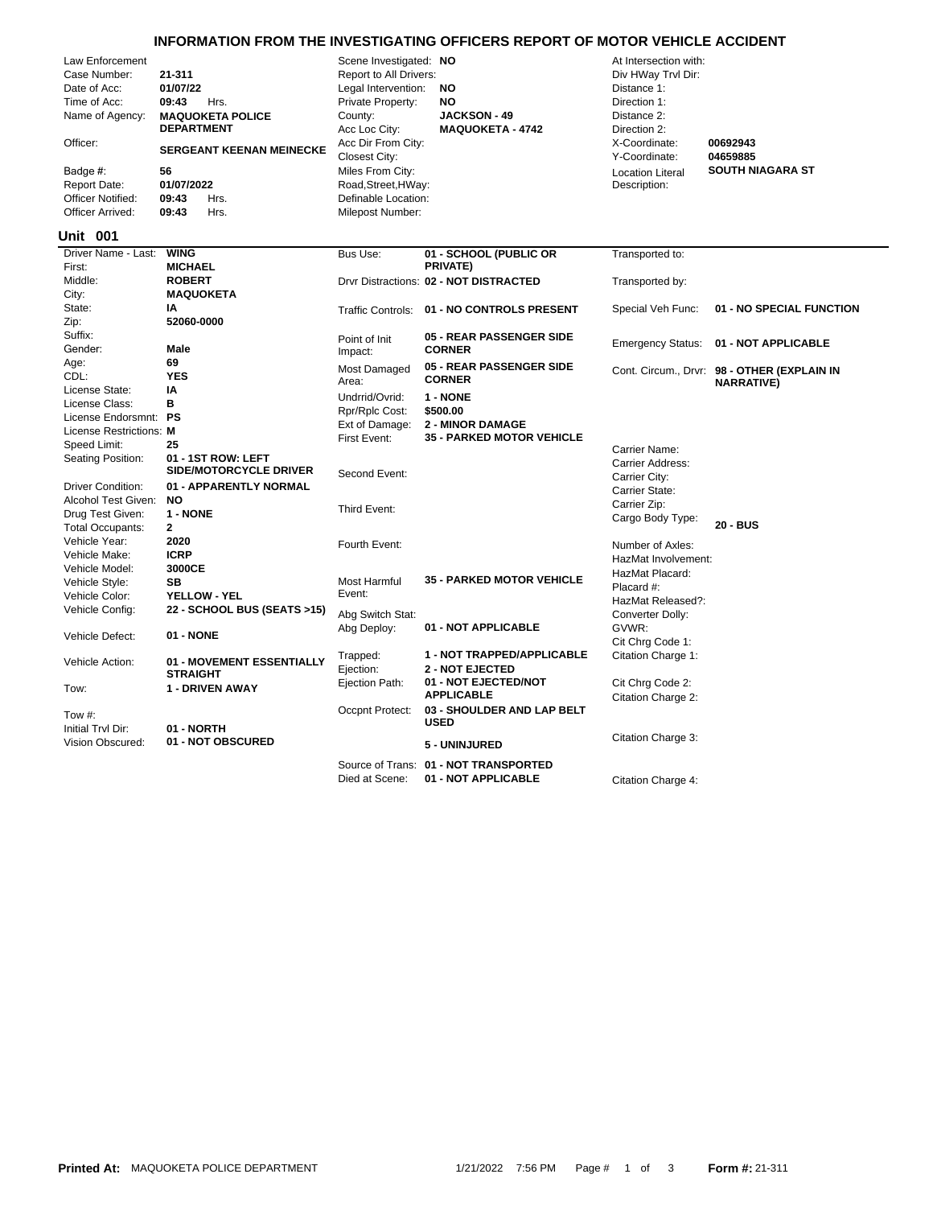## **INFORMATION FROM THE INVESTIGATING OFFICERS REPORT OF MOTOR VEHICLE ACCIDENT**

| Law Enforcement          |                                 | Scene Investigated: NO |                                            | At Intersection with:    |                                             |
|--------------------------|---------------------------------|------------------------|--------------------------------------------|--------------------------|---------------------------------------------|
| Case Number:             | 21-311                          | Report to All Drivers: |                                            | Div HWay Trvl Dir:       |                                             |
| Date of Acc:             | 01/07/22                        | Legal Intervention:    | <b>NO</b>                                  | Distance 1:              |                                             |
| Time of Acc:             | 09:43<br>Hrs.                   | Private Property:      | <b>NO</b>                                  | Direction 1:             |                                             |
| Name of Agency:          | <b>MAQUOKETA POLICE</b>         | County:                | <b>JACKSON - 49</b>                        | Distance 2:              |                                             |
|                          | <b>DEPARTMENT</b>               | Acc Loc City:          | <b>MAQUOKETA - 4742</b>                    | Direction 2:             |                                             |
| Officer:                 |                                 | Acc Dir From City:     |                                            | X-Coordinate:            | 00692943                                    |
|                          | <b>SERGEANT KEENAN MEINECKE</b> | Closest City:          |                                            | Y-Coordinate:            | 04659885                                    |
| Badge #:                 | 56                              | Miles From City:       |                                            | <b>Location Literal</b>  | <b>SOUTH NIAGARA ST</b>                     |
| <b>Report Date:</b>      | 01/07/2022                      | Road, Street, HWay:    |                                            | Description:             |                                             |
| <b>Officer Notified:</b> | 09:43<br>Hrs.                   | Definable Location:    |                                            |                          |                                             |
| Officer Arrived:         | 09:43<br>Hrs.                   | Milepost Number:       |                                            |                          |                                             |
|                          |                                 |                        |                                            |                          |                                             |
| <b>Unit 001</b>          |                                 |                        |                                            |                          |                                             |
| Driver Name - Last:      | <b>WING</b>                     | Bus Use:               | 01 - SCHOOL (PUBLIC OR                     | Transported to:          |                                             |
| First:                   | <b>MICHAEL</b>                  |                        | PRIVATE)                                   |                          |                                             |
| Middle:                  | <b>ROBERT</b>                   |                        | Drvr Distractions: 02 - NOT DISTRACTED     | Transported by:          |                                             |
| City:                    | <b>MAQUOKETA</b>                |                        |                                            |                          |                                             |
| State:                   | IA                              |                        | Traffic Controls: 01 - NO CONTROLS PRESENT | Special Veh Func:        | 01 - NO SPECIAL FUNCTION                    |
| Zip:                     | 52060-0000                      |                        |                                            |                          |                                             |
| Suffix:                  |                                 | Point of Init          | 05 - REAR PASSENGER SIDE                   | <b>Emergency Status:</b> | 01 - NOT APPLICABLE                         |
| Gender:                  | Male                            | Impact:                | <b>CORNER</b>                              |                          |                                             |
| Age:                     | 69                              | Most Damaged           | 05 - REAR PASSENGER SIDE                   |                          | Cont. Circum., Drvr: 98 - OTHER (EXPLAIN IN |
| CDL:                     | <b>YES</b>                      | Area:                  | <b>CORNER</b>                              |                          | <b>NARRATIVE)</b>                           |
| License State:           | IA                              | Undrrid/Ovrid:         | 1 - NONE                                   |                          |                                             |
| License Class:           | B                               | Rpr/Rplc Cost:         | \$500.00                                   |                          |                                             |
| License Endorsmnt: PS    |                                 | Ext of Damage:         | <b>2 - MINOR DAMAGE</b>                    |                          |                                             |
| License Restrictions: M  |                                 | First Event:           | <b>35 - PARKED MOTOR VEHICLE</b>           |                          |                                             |
| Speed Limit:             | 25                              |                        |                                            | Carrier Name:            |                                             |
| Seating Position:        | 01 - 1ST ROW: LEFT              |                        |                                            | Carrier Address:         |                                             |
|                          | <b>SIDE/MOTORCYCLE DRIVER</b>   | Second Event:          |                                            | Carrier City:            |                                             |
| <b>Driver Condition:</b> | 01 - APPARENTLY NORMAL          |                        |                                            | Carrier State:           |                                             |
| Alcohol Test Given:      | <b>NO</b>                       | Third Event:           |                                            | Carrier Zip:             |                                             |
| Drug Test Given:         | 1 - NONE                        |                        |                                            | Cargo Body Type:         |                                             |
| <b>Total Occupants:</b>  | $\mathbf{2}$                    |                        |                                            |                          | 20 - BUS                                    |
| Vehicle Year:            | 2020                            | Fourth Event:          |                                            | Number of Axles:         |                                             |
| Vehicle Make:            | <b>ICRP</b>                     |                        |                                            | HazMat Involvement:      |                                             |
| Vehicle Model:           | 3000CE                          |                        | <b>35 - PARKED MOTOR VEHICLE</b>           | HazMat Placard:          |                                             |
| Vehicle Style:           | <b>SB</b>                       | Most Harmful           |                                            | Placard #:               |                                             |
| Vehicle Color:           | YELLOW - YEL                    | Event:                 |                                            | HazMat Released?:        |                                             |
| Vehicle Config:          | 22 - SCHOOL BUS (SEATS >15)     | Abg Switch Stat:       |                                            | Converter Dolly:         |                                             |
|                          |                                 | Abg Deploy:            | 01 - NOT APPLICABLE                        | GVWR:                    |                                             |
| Vehicle Defect:          | 01 - NONE                       |                        |                                            | Cit Chrg Code 1:         |                                             |
|                          | 01 - MOVEMENT ESSENTIALLY       | Trapped:               | 1 - NOT TRAPPED/APPLICABLE                 | Citation Charge 1:       |                                             |
| Vehicle Action:          | <b>STRAIGHT</b>                 | Ejection:              | <b>2 - NOT EJECTED</b>                     |                          |                                             |
| Tow:                     | 1 - DRIVEN AWAY                 | Ejection Path:         | 01 - NOT EJECTED/NOT                       | Cit Chrg Code 2:         |                                             |
|                          |                                 |                        | <b>APPLICABLE</b>                          | Citation Charge 2:       |                                             |
| Tow $#$ :                |                                 | Occpnt Protect:        | 03 - SHOULDER AND LAP BELT                 |                          |                                             |
| Initial Trvl Dir:        | 01 - NORTH                      |                        | <b>USED</b>                                |                          |                                             |
| Vision Obscured:         | 01 - NOT OBSCURED               |                        | <b>5 - UNINJURED</b>                       | Citation Charge 3:       |                                             |
|                          |                                 |                        |                                            |                          |                                             |
|                          |                                 |                        | Source of Trans: 01 - NOT TRANSPORTED      |                          |                                             |

Died at Scene: **01 - NOT APPLICABLE** Citation Charge 4:

 $\overline{\phantom{0}}$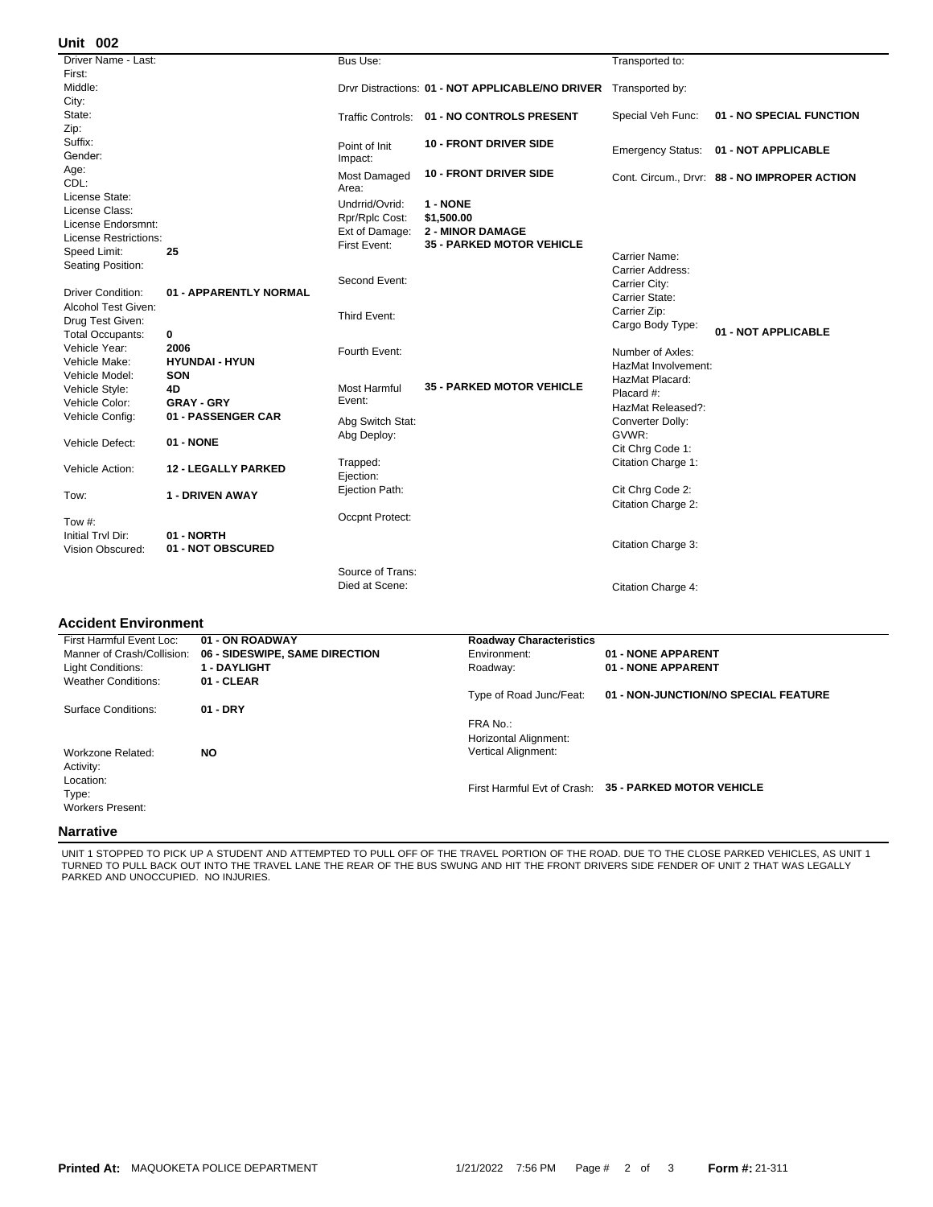| Unit 002                     |                            |                                  |                                                                  |                          |                                              |
|------------------------------|----------------------------|----------------------------------|------------------------------------------------------------------|--------------------------|----------------------------------------------|
| Driver Name - Last:          |                            | Bus Use:                         |                                                                  | Transported to:          |                                              |
| First:                       |                            |                                  |                                                                  |                          |                                              |
| Middle:                      |                            |                                  | Drvr Distractions: 01 - NOT APPLICABLE/NO DRIVER Transported by: |                          |                                              |
| City:                        |                            |                                  |                                                                  |                          |                                              |
| State:                       |                            | <b>Traffic Controls:</b>         | 01 - NO CONTROLS PRESENT                                         | Special Veh Func:        | 01 - NO SPECIAL FUNCTION                     |
| Zip:                         |                            |                                  |                                                                  |                          |                                              |
| Suffix:                      |                            | Point of Init                    | <b>10 - FRONT DRIVER SIDE</b>                                    |                          |                                              |
| Gender:                      |                            | Impact:                          |                                                                  | <b>Emergency Status:</b> | 01 - NOT APPLICABLE                          |
| Age:                         |                            | Most Damaged                     | <b>10 - FRONT DRIVER SIDE</b>                                    |                          |                                              |
| CDL:                         |                            | Area:                            |                                                                  |                          | Cont. Circum., Drvr: 88 - NO IMPROPER ACTION |
| License State:               |                            | Undrrid/Ovrid:                   | 1 - NONE                                                         |                          |                                              |
| License Class:               |                            |                                  | \$1,500.00                                                       |                          |                                              |
| License Endorsmnt:           |                            | Rpr/Rplc Cost:<br>Ext of Damage: | <b>2 - MINOR DAMAGE</b>                                          |                          |                                              |
| <b>License Restrictions:</b> |                            | First Event:                     | <b>35 - PARKED MOTOR VEHICLE</b>                                 |                          |                                              |
| Speed Limit:                 | 25                         |                                  |                                                                  | Carrier Name:            |                                              |
| Seating Position:            |                            |                                  |                                                                  | Carrier Address:         |                                              |
|                              |                            | Second Event:                    |                                                                  | Carrier City:            |                                              |
| <b>Driver Condition:</b>     | 01 - APPARENTLY NORMAL     |                                  |                                                                  | Carrier State:           |                                              |
| Alcohol Test Given:          |                            |                                  |                                                                  | Carrier Zip:             |                                              |
| Drug Test Given:             |                            | Third Event:                     |                                                                  | Cargo Body Type:         |                                              |
| <b>Total Occupants:</b>      | 0                          |                                  |                                                                  |                          | 01 - NOT APPLICABLE                          |
| Vehicle Year:                | 2006                       | Fourth Event:                    |                                                                  | Number of Axles:         |                                              |
| Vehicle Make:                | <b>HYUNDAI - HYUN</b>      |                                  |                                                                  | HazMat Involvement:      |                                              |
| Vehicle Model:               | <b>SON</b>                 |                                  |                                                                  | HazMat Placard:          |                                              |
| Vehicle Style:               | 4D                         | <b>Most Harmful</b>              | <b>35 - PARKED MOTOR VEHICLE</b>                                 | Placard #:               |                                              |
| Vehicle Color:               | <b>GRAY - GRY</b>          | Event:                           |                                                                  | HazMat Released?:        |                                              |
| Vehicle Config:              | 01 - PASSENGER CAR         | Abg Switch Stat:                 |                                                                  | Converter Dolly:         |                                              |
| Vehicle Defect:              |                            | Abg Deploy:                      |                                                                  | GVWR:                    |                                              |
|                              | 01 - NONE                  |                                  |                                                                  | Cit Chrg Code 1:         |                                              |
|                              |                            | Trapped:                         |                                                                  | Citation Charge 1:       |                                              |
| Vehicle Action:              | <b>12 - LEGALLY PARKED</b> | Ejection:                        |                                                                  |                          |                                              |
|                              |                            | Ejection Path:                   |                                                                  | Cit Chrg Code 2:         |                                              |
| Tow:                         | 1 - DRIVEN AWAY            |                                  |                                                                  | Citation Charge 2:       |                                              |
|                              |                            | Occpnt Protect:                  |                                                                  |                          |                                              |
| Tow #:                       |                            |                                  |                                                                  |                          |                                              |
| Initial Trvl Dir:            | 01 - NORTH                 |                                  |                                                                  | Citation Charge 3:       |                                              |
| Vision Obscured:             | 01 - NOT OBSCURED          |                                  |                                                                  |                          |                                              |
|                              |                            | Source of Trans:                 |                                                                  |                          |                                              |
|                              |                            | Died at Scene:                   |                                                                  | Citation Charge 4:       |                                              |
|                              |                            |                                  |                                                                  |                          |                                              |

## **Accident Environment**

| First Harmful Event Loc:   | 01 - ON ROADWAY                | <b>Roadway Characteristics</b>    |                                                       |
|----------------------------|--------------------------------|-----------------------------------|-------------------------------------------------------|
| Manner of Crash/Collision: | 06 - SIDESWIPE, SAME DIRECTION | Environment:                      | 01 - NONE APPARENT                                    |
| <b>Light Conditions:</b>   | <b>1 - DAYLIGHT</b>            | Roadway:                          | 01 - NONE APPARENT                                    |
| <b>Weather Conditions:</b> | 01 - CLEAR                     |                                   |                                                       |
|                            |                                | Type of Road Junc/Feat:           | 01 - NON-JUNCTION/NO SPECIAL FEATURE                  |
| Surface Conditions:        | $01 - DRY$                     |                                   |                                                       |
|                            |                                | FRA No.:<br>Horizontal Alignment: |                                                       |
| Workzone Related:          | NO.                            | <b>Vertical Alignment:</b>        |                                                       |
| Activity:                  |                                |                                   |                                                       |
| Location:                  |                                |                                   | First Harmful Evt of Crash: 35 - PARKED MOTOR VEHICLE |
| Type:                      |                                |                                   |                                                       |
| <b>Workers Present:</b>    |                                |                                   |                                                       |
| Nassativa                  |                                |                                   |                                                       |

## **Narrative**

UNIT 1 STOPPED TO PICK UP A STUDENT AND ATTEMPTED TO PULL OFF OF THE TRAVEL PORTION OF THE ROAD. DUE TO THE CLOSE PARKED VEHICLES, AS UNIT 1<br>TURNED TO PULL BACK OUT INTO THE TRAVEL LANE THE REAR OF THE BUS SWUNG AND HIT TH PARKED AND UNOCCUPIED. NO INJURIES.